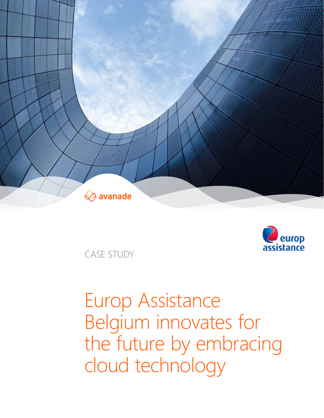



CASE STUDY

# Europ Assistance Belgium innovates for the future by embracing cloud technology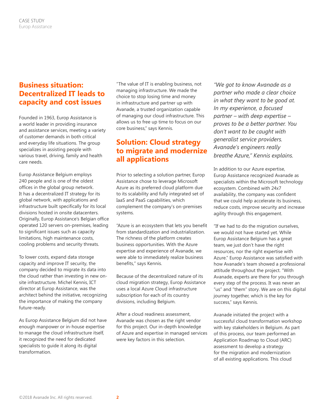## **Business situation: Decentralized IT leads to capacity and cost issues**

Founded in 1963, Europ Assistance is a world leader in providing insurance and assistance services, meeting a variety of customer demands in both critical and everyday life situations. The group specializes in assisting people with various travel, driving, family and health care needs.

Europ Assistance Belgium employs 240 people and is one of the oldest offices in the global group network. It has a decentralized IT strategy for its global network, with applications and infrastructure built specifically for its local divisions hosted in onsite datacenters. Originally, Europ Assistance's Belgian office operated 120 servers on-premises, leading to significant issues such as capacity limitations, high maintenance costs, cooling problems and security threats.

To lower costs, expand data storage capacity and improve IT security, the company decided to migrate its data into the cloud rather than investing in new onsite infrastructure. Michel Kennis, ICT director at Europ Assistance, was the architect behind the initiative, recognizing the importance of making the company future-ready.

As Europ Assistance Belgium did not have enough manpower or in-house expertise to manage the cloud infrastructure itself, it recognized the need for dedicated specialists to guide it along its digital transformation.

"The value of IT is enabling business, not managing infrastructure. We made the choice to stop losing time and money in infrastructure and partner up with Avanade, a trusted organization capable of managing our cloud infrastructure. This allows us to free up time to focus on our core business," says Kennis.

## **Solution: Cloud strategy to migrate and modernize all applications**

Prior to selecting a solution partner, Europ Assistance chose to leverage Microsoft Azure as its preferred cloud platform due to its scalability and fully integrated set of IaaS and PaaS capabilities, which complement the company's on-premises systems.

"Azure is an ecosystem that lets you benefit from standardization and industrialization. The richness of the platform creates business opportunities. With the Azure expertise and experience of Avanade, we were able to immediately realize business benefits," says Kennis.

Because of the decentralized nature of its cloud migration strategy, Europ Assistance uses a local Azure Cloud infrastructure subscription for each of its country divisions, including Belgium.

After a cloud readiness assessment, Avanade was chosen as the right vendor for this project. Our in-depth knowledge of Azure and expertise in managed services were key factors in this selection.

*"We got to know Avanade as a partner who made a clear choice in what they want to be good at. In my experience, a focused partner – with deep expertise – proves to be a better partner. You don't want to be caught with generalist service providers. Avanade's engineers really breathe Azure," Kennis explains.*

In addition to our Azure expertise, Europ Assistance recognized Avanade as specialists within the Microsoft technology ecosystem. Combined with 24x7 availability, the company was confident that we could help accelerate its business, reduce costs, improve security and increase agility through this engagement.

"If we had to do the migration ourselves, we would not have started yet. While Europ Assistance Belgium has a great team, we just don't have the right resources, nor the right expertise with Azure." Europ Assistance was satisfied with how Avanade's team showed a professional attitude throughout the project. "With Avanade, experts are there for you through every step of the process. It was never an "us" and "them" story. We are on this digital journey together, which is the key for success," says Kennis.

Avanade initiated the project with a successful cloud transformation workshop with key stakeholders in Belgium. As part of this process, our team performed an Application Roadmap to Cloud (ARC) assessment to develop a strategy for the migration and modernization of all existing applications. This cloud